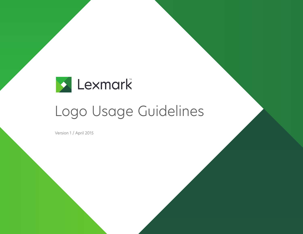

# Logo Usage Guidelines

Version 1 / April 2015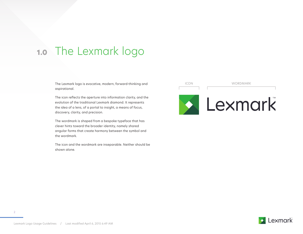## The Lexmark logo **1.0**

The Lexmark logo is evocative, modern, forward-thinking and aspirational.

The icon reflects the aperture into information clarity, and the evolution of the traditional Lexmark diamond. It represents the idea of a lens, of a portal to insight, a means of focus, discovery, clarity, and precision.

The wordmark is shaped from a bespoke typeface that has clever hints toward the broader identity, namely shared angular forms that create harmony between the symbol and the wordmark.

The icon and the wordmark are inseparable. Neither should be shown alone.





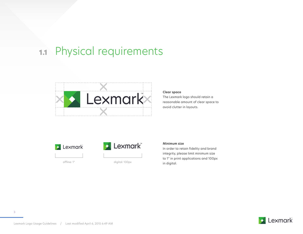## **1.1** Physical requirements



### **Clear space**

The Lexmark logo should retain a reasonable amount of clear space to avoid clutter in layouts.





offline: 1" digital: 100px

## **Minimum size**

In order to retain fidelity and brand integrity, please limit minimum size to 1" in print applications and 100px in digital.

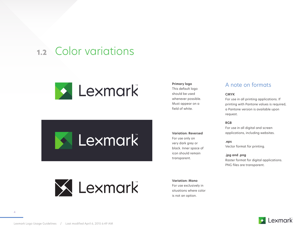## **1.2** Color variations



**Exmark** 

**X** Lexmark

## **Primary logo** This default logo

should be used whenever possible. Must appear on a field of white.

**Variation: Reversed** For use only on very dark grey or black. Inner space of icon should remain transparent.

## A note on formats

## **CMYK**

For use in all printing applications. If printing with Pantone values is required, a Pantone version is available upon request.

## **RGB**

For use in all digital and screen applications, including websites.

#### **.eps**

Vector format for printing.

### **.jpg and .png**

Raster format for digital applications. PNG files are transparent.

**Variation: Mono** For use exclusively in situations where color is not an option.



Lexmark Logo Usage Guidelines / Last modified April 6, 2015 6:49 AM